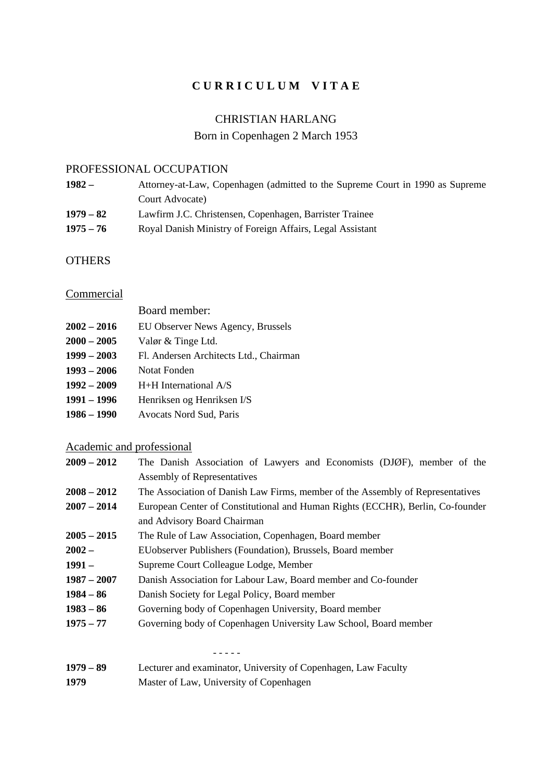## **C U R R I C U L U M V I T A E**

### CHRISTIAN HARLANG

## Born in Copenhagen 2 March 1953

### PROFESSIONAL OCCUPATION

| $1982 -$    | Attorney-at-Law, Copenhagen (admitted to the Supreme Court in 1990 as Supreme |
|-------------|-------------------------------------------------------------------------------|
|             | Court Advocate)                                                               |
| $1979 - 82$ | Lawfirm J.C. Christensen, Copenhagen, Barrister Trainee                       |
| $1975 - 76$ | Royal Danish Ministry of Foreign Affairs, Legal Assistant                     |

## **OTHERS**

# **Commercial**

|               | Board member:                          |
|---------------|----------------------------------------|
| $2002 - 2016$ | EU Observer News Agency, Brussels      |
| $2000 - 2005$ | Valør & Tinge Ltd.                     |
| $1999 - 2003$ | Fl. Andersen Architects Ltd., Chairman |
| $1993 - 2006$ | Notat Fonden                           |
| $1992 - 2009$ | $H+H$ International $A/S$              |
| 1991 – 1996   | Henriksen og Henriksen I/S             |
| 1986 – 1990   | Avocats Nord Sud, Paris                |

# Academic and professional

| $2009 - 2012$ | The Danish Association of Lawyers and Economists (DJØF), member of the         |  |  |  |
|---------------|--------------------------------------------------------------------------------|--|--|--|
|               | Assembly of Representatives                                                    |  |  |  |
| $2008 - 2012$ | The Association of Danish Law Firms, member of the Assembly of Representatives |  |  |  |
| $2007 - 2014$ | European Center of Constitutional and Human Rights (ECCHR), Berlin, Co-founder |  |  |  |
|               | and Advisory Board Chairman                                                    |  |  |  |
| $2005 - 2015$ | The Rule of Law Association, Copenhagen, Board member                          |  |  |  |
| $2002 -$      | EU observer Publishers (Foundation), Brussels, Board member                    |  |  |  |
| $1991 -$      | Supreme Court Colleague Lodge, Member                                          |  |  |  |
| $1987 - 2007$ | Danish Association for Labour Law, Board member and Co-founder                 |  |  |  |
| $1984 - 86$   | Danish Society for Legal Policy, Board member                                  |  |  |  |
| $1983 - 86$   | Governing body of Copenhagen University, Board member                          |  |  |  |
| $1975 - 77$   | Governing body of Copenhagen University Law School, Board member               |  |  |  |
|               |                                                                                |  |  |  |
|               |                                                                                |  |  |  |

| $1979 - 89$ | Lecturer and examinator, University of Copenhagen, Law Faculty |
|-------------|----------------------------------------------------------------|
| 1979        | Master of Law, University of Copenhagen                        |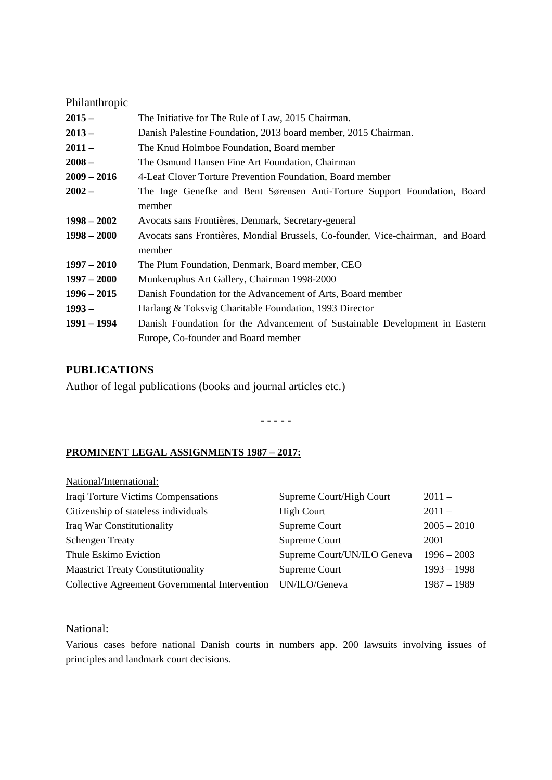#### Philanthropic

| $2015 -$      | The Initiative for The Rule of Law, 2015 Chairman.                              |  |
|---------------|---------------------------------------------------------------------------------|--|
| $2013 -$      | Danish Palestine Foundation, 2013 board member, 2015 Chairman.                  |  |
| $2011 -$      | The Knud Holmboe Foundation, Board member                                       |  |
| $2008 -$      | The Osmund Hansen Fine Art Foundation, Chairman                                 |  |
| $2009 - 2016$ | 4-Leaf Clover Torture Prevention Foundation, Board member                       |  |
| $2002 -$      | The Inge Genefke and Bent Sørensen Anti-Torture Support Foundation, Board       |  |
|               | member                                                                          |  |
| $1998 - 2002$ | Avocats sans Frontières, Denmark, Secretary-general                             |  |
| $1998 - 2000$ | Avocats sans Frontières, Mondial Brussels, Co-founder, Vice-chairman, and Board |  |
|               | member                                                                          |  |
| $1997 - 2010$ | The Plum Foundation, Denmark, Board member, CEO                                 |  |
| $1997 - 2000$ | Munkeruphus Art Gallery, Chairman 1998-2000                                     |  |
| $1996 - 2015$ | Danish Foundation for the Advancement of Arts, Board member                     |  |
| $1993 -$      | Harlang & Toksvig Charitable Foundation, 1993 Director                          |  |
| 1991 – 1994   | Danish Foundation for the Advancement of Sustainable Development in Eastern     |  |
|               | Europe, Co-founder and Board member                                             |  |

### **PUBLICATIONS**

Author of legal publications (books and journal articles etc.)

**- - - - -**

#### **PROMINENT LEGAL ASSIGNMENTS 1987 – 2017:**

| National/International:                        |                             |               |
|------------------------------------------------|-----------------------------|---------------|
| Iraqi Torture Victims Compensations            | Supreme Court/High Court    | $2011 -$      |
| Citizenship of stateless individuals           | <b>High Court</b>           | $2011 -$      |
| Iraq War Constitutionality                     | Supreme Court               | $2005 - 2010$ |
| <b>Schengen Treaty</b>                         | Supreme Court               | 2001          |
| Thule Eskimo Eviction                          | Supreme Court/UN/ILO Geneva | $1996 - 2003$ |
| <b>Maastrict Treaty Constitutionality</b>      | Supreme Court               | $1993 - 1998$ |
| Collective Agreement Governmental Intervention | UN/ILO/Geneva               | $1987 - 1989$ |
|                                                |                             |               |

## National:

Various cases before national Danish courts in numbers app. 200 lawsuits involving issues of principles and landmark court decisions.